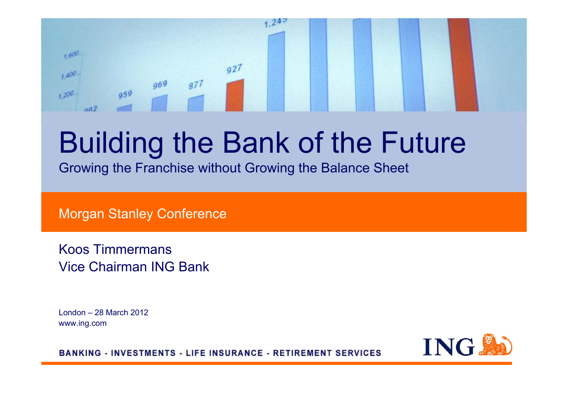#### $242$  $1,600$  $q27$  $1.400 969$  $877$ 959 1,200  $002$

# Building the Bank of the Future

Growing the Franchise without Growing the Balance Sheet

Morgan Stanley Conference

Koos TimmermansVice Chairman ING Bank

London – 28 March 2012 www.ing.com



**BANKING - INVESTMENTS - LIFE INSURANCE - RETIREMENT SERVICES**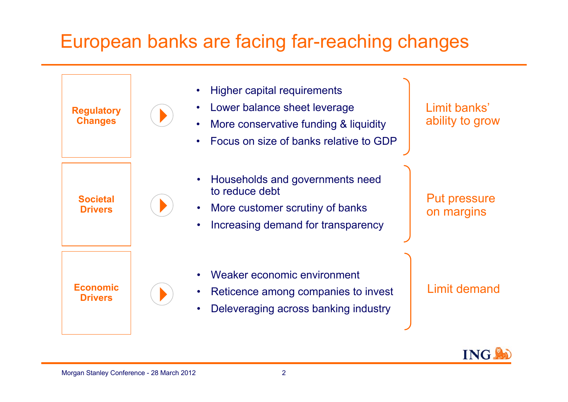### European banks are facing far-reaching changes

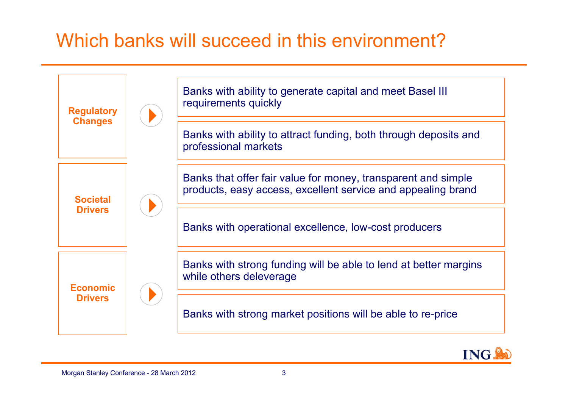### Which banks will succeed in this environment?



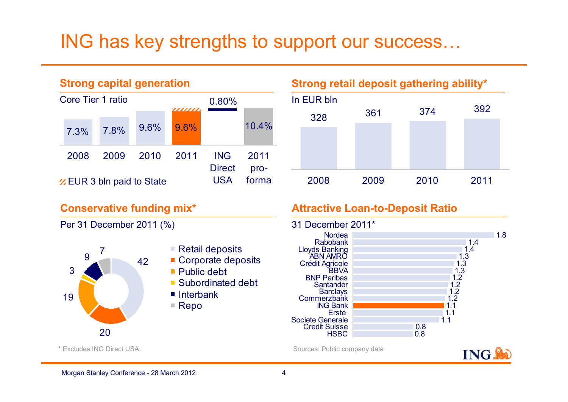### ING has key strengths to support our success…



#### **Strong retail deposit gathering ability\***



#### **Conservative funding mix\***

Per 31 December 2011 (%)



- $\blacksquare$  Retail deposits
- Corporate deposits
- Public debt
- Subordinated debt
- Interbank
- $\blacksquare$  Repo

### **Attractive Loan-to-Deposit Ratio**



Sources: Public company data



\* Excludes ING Direct USA.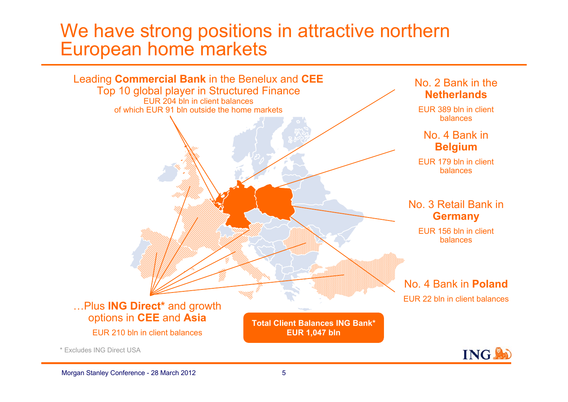### We have strong positions in attractive northern European home markets



\* Excludes ING Direct USA

**ING**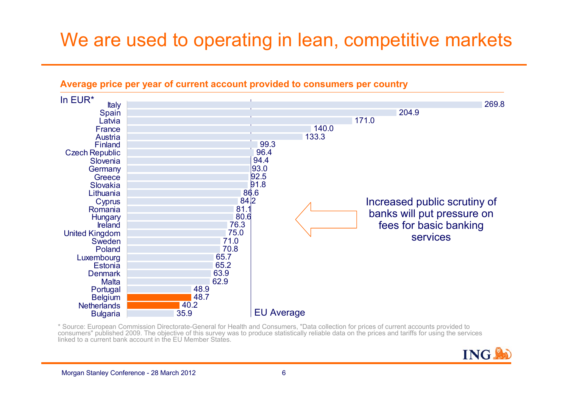### We are used to operating in lean, competitive markets



#### **Average price per year of current account provided to consumers per country**

\* Source: European Commission Directorate-General for Health and Consumers, "Data collection for prices of current accounts provided to consumers" published 2009. The objective of this survey was to produce statistically reliable data on the prices and tariffs for using the services linked to a current bank account in the EU Member States.

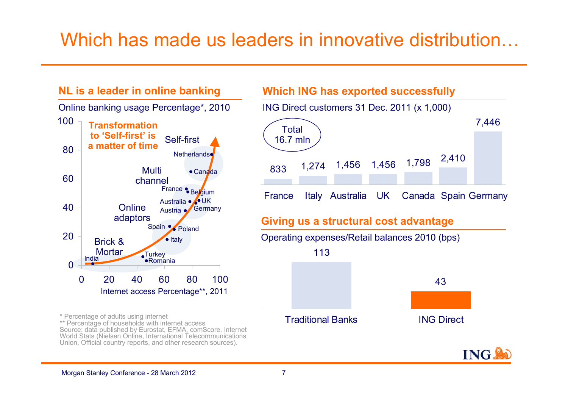### Which has made us leaders in innovative distribution…

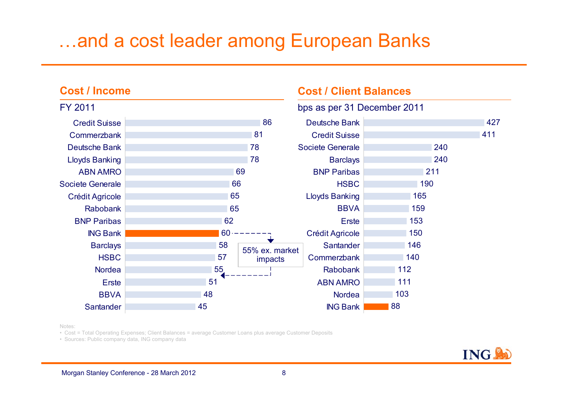### …and a cost leader among European Banks

#### 86817878696665656260585755514845Credit Suisse**Commerzbank** Deutsche BankLloyds Banking ABN AMROSociete GeneraleCrédit Agricole RabobankBNP ParibasING Bank**Barclays HSBC** Nordea**Erste BBVA Santander** bps as per 31 December 2011 FY 201142741124024021119016515915315014614011211110388Deutsche BankCredit SuisseSociete Generale**Barclays** BNP Paribas**HSBC** Lloyds Banking **BBVA** ErsteCrédit Agricole **Santander Commerzbank** RabobankABN AMRONordeaING Bank55% ex. market impacts

**Cost / Client Balances**

Notes:

**Cost / Income**

• Cost = Total Operating Expenses; Client Balances = average Customer Loans plus average Customer Deposits

• Sources: Public company data, ING company data

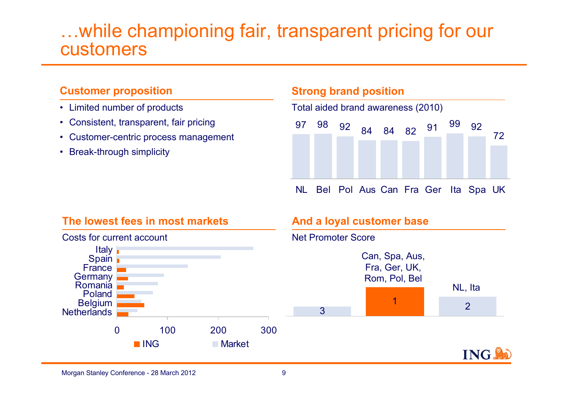### …while championing fair, transparent pricing for our customers

#### **Customer proposition**

- Limited number of products
- Consistent, transparent, fair pricing
- Customer-centric process management
- Break-through simplicity

#### **Strong brand position**

Total aided brand awareness (2010)



NL Bel Pol Aus Can Fra Ger Ita Spa UK

#### **The lowest fees in most markets**



#### **And a loyal customer base**

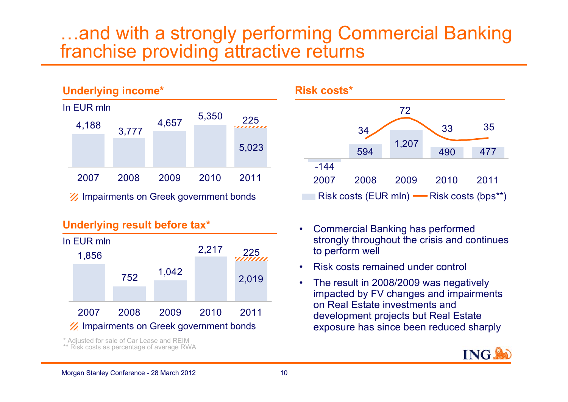### …and with a strongly performing Commercial Banking franchise providing attractive returns



#### **Underlying result before tax\***



\* Adjusted for sale of Car Lease and REIM

\*\* Risk costs as percentage of average RWA



- • Commercial Banking has performed strongly throughout the crisis and continues to perform well
- •Risk costs remained under control
- $\bullet$  The result in 2008/2009 was negatively impacted by FV changes and impairments on Real Estate investments and development projects but Real Estate exposure has since been reduced sharply

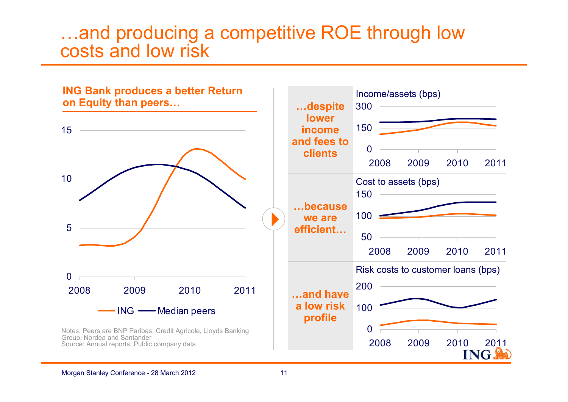### …and producing a competitive ROE through low costs and low risk

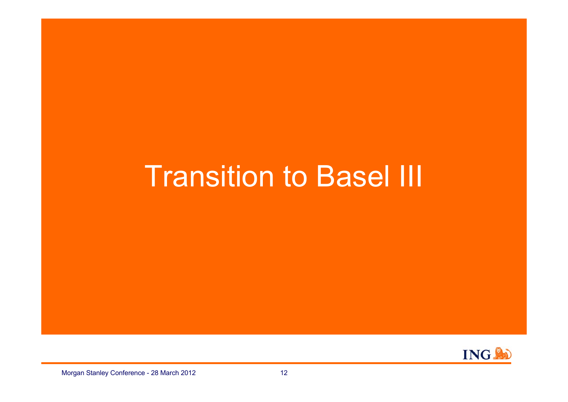## **Transition to Basel III**

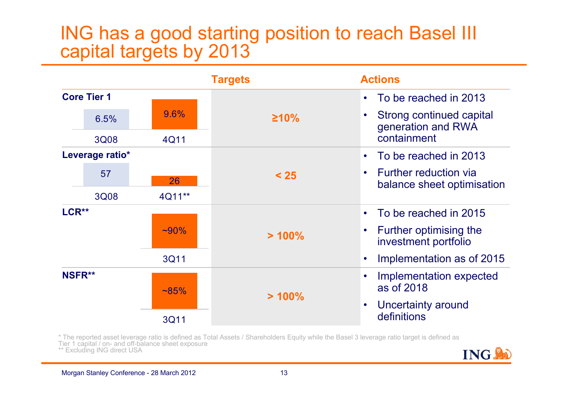### ING has a good starting position to reach Basel III capital targets by 2013



\* The reported asset leverage ratio is defined as Total Assets / Shareholders Equity while the Basel 3 leverage ratio target is defined as Tier 1 capital / on- and off-balance sheet exposure \*\* Excluding ING direct USA **ING** 

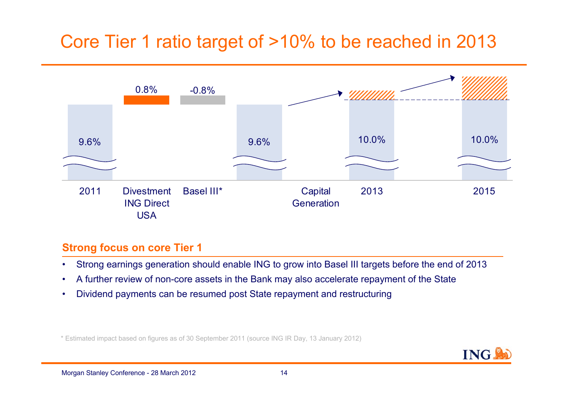### Core Tier 1 ratio target of >10% to be reached in 2013



#### **Strong focus on core Tier 1**

- •Strong earnings generation should enable ING to grow into Basel III targets before the end of 2013
- •A further review of non-core assets in the Bank may also accelerate repayment of the State
- •Dividend payments can be resumed post State repayment and restructuring

\* Estimated impact based on figures as of 30 September 2011 (source ING IR Day, 13 January 2012)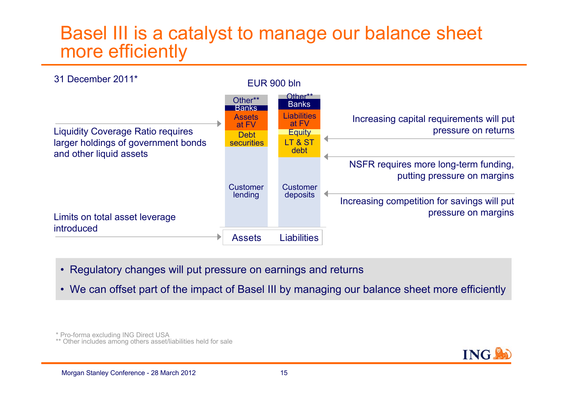### Basel III is a catalyst to manage our balance sheet more efficiently



- Regulatory changes will put pressure on earnings and returns
- We can offset part of the impact of Basel III by managing our balance sheet more efficiently

\* Pro-forma excluding ING Direct USA

\*\* Other includes among others asset/liabilities held for sale

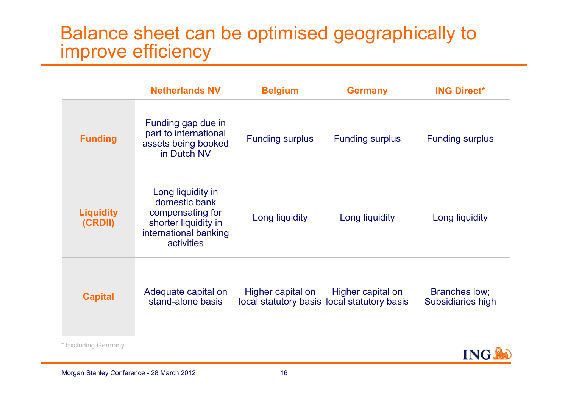### Balance sheet can be optimised geographically to improve efficiency

|                             | <b>Netherlands NV</b>                                                                                                 | <b>Belgium</b>         | <b>Germany</b>                                                   | <b>ING Direct*</b>                 |
|-----------------------------|-----------------------------------------------------------------------------------------------------------------------|------------------------|------------------------------------------------------------------|------------------------------------|
| <b>Funding</b>              | Funding gap due in<br>part to international<br>assets being booked<br>in Dutch NV                                     | <b>Funding surplus</b> | <b>Funding surplus</b>                                           | <b>Funding surplus</b>             |
| <b>Liquidity</b><br>(CRDII) | Long liquidity in<br>domestic bank<br>compensating for<br>shorter liquidity in<br>international banking<br>activities | Long liquidity         | Long liquidity                                                   | Long liquidity                     |
| <b>Capital</b>              | Adequate capital on<br>stand-alone basis                                                                              | Higher capital on      | Higher capital on<br>local statutory basis local statutory basis | Branches low;<br>Subsidiaries high |
| * Excluding Germany         |                                                                                                                       |                        |                                                                  |                                    |



**ING**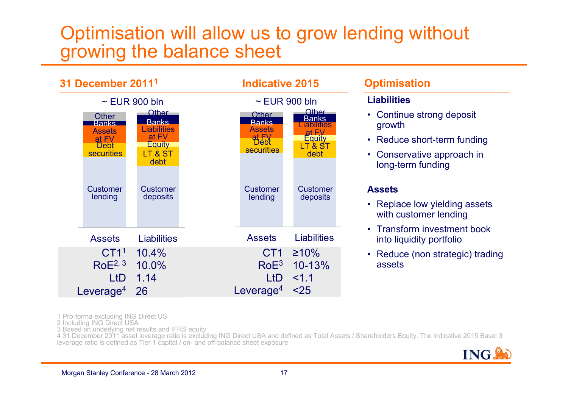### Optimisation will allow us to grow lending without growing the balance sheet



#### **Optimisation**

#### **Liabilities**

- Continue strong deposit growth
- Reduce short-term funding
- Conservative approach in long-term funding

#### **Assets**

- Replace low yielding assets with customer lending
- Transform investment book into liquidity portfolio
- Reduce (non strategic) trading assets

1 Pro-forma excluding ING Direct US

2 Including ING Direct USA

3 Based on underlying net results and IFRS equity

4 31 December 2011 asset leverage ratio is excluding ING Direct USA and defined as Total Assets / Shareholders Equity. The indicative 2015 Basel 3 leverage ratio is defined as Tier 1 capital / on- and off-balance sheet exposure

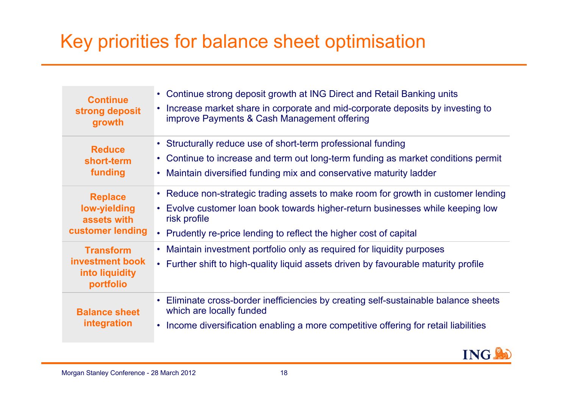### Key priorities for balance sheet optimisation

| <b>Continue</b><br>strong deposit<br>growth                               | • Continue strong deposit growth at ING Direct and Retail Banking units<br>Increase market share in corporate and mid-corporate deposits by investing to<br>$\bullet$<br>improve Payments & Cash Management offering                                                 |  |
|---------------------------------------------------------------------------|----------------------------------------------------------------------------------------------------------------------------------------------------------------------------------------------------------------------------------------------------------------------|--|
| <b>Reduce</b><br>short-term<br>funding                                    | • Structurally reduce use of short-term professional funding<br>• Continue to increase and term out long-term funding as market conditions permit<br>Maintain diversified funding mix and conservative maturity ladder                                               |  |
| <b>Replace</b><br>low-yielding<br>assets with<br>customer lending         | • Reduce non-strategic trading assets to make room for growth in customer lending<br>• Evolve customer loan book towards higher-return businesses while keeping low<br>risk profile<br>Prudently re-price lending to reflect the higher cost of capital<br>$\bullet$ |  |
| <b>Transform</b><br><b>investment book</b><br>into liquidity<br>portfolio | • Maintain investment portfolio only as required for liquidity purposes<br>• Further shift to high-quality liquid assets driven by favourable maturity profile                                                                                                       |  |
| <b>Balance sheet</b><br>integration                                       | Eliminate cross-border inefficiencies by creating self-sustainable balance sheets<br>which are locally funded<br>Income diversification enabling a more competitive offering for retail liabilities<br>$\bullet$                                                     |  |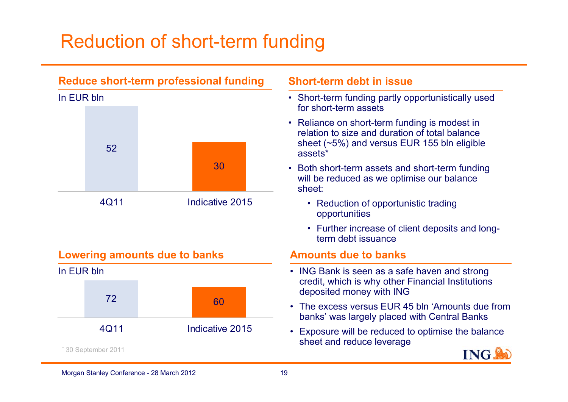### Reduction of short-term funding



#### **Lowering amounts due to banks**



#### **Short-term debt in issue**

- Short-term funding partly opportunistically used for short-term assets
- Reliance on short-term funding is modest in relation to size and duration of total balance sheet (~5%) and versus EUR 155 bln eligible assets\*
- Both short-term assets and short-term funding will be reduced as we optimise our balance sheet:
	- Reduction of opportunistic trading opportunities
	- Further increase of client deposits and longterm debt issuance

#### **Amounts due to banks**

- ING Bank is seen as a safe haven and strong credit, which is why other Financial Institutions deposited money with ING
- The excess versus EUR 45 bln 'Amounts due from banks' was largely placed with Central Banks
- Exposure will be reduced to optimise the balance sheet and reduce leverage

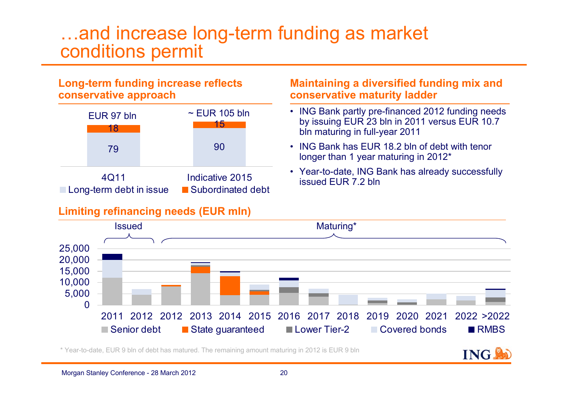### …and increase long-term funding as market conditions permit

#### **Long-term funding increase reflects conservative approach**

|                                 | EUR 97 bln<br>18 | $\sim$ EUR 105 bln<br>15               |  |
|---------------------------------|------------------|----------------------------------------|--|
|                                 | 79               | 90                                     |  |
| 4Q11<br>Long-term debt in issue |                  | Indicative 2015<br>■ Subordinated debt |  |

#### **Limiting refinancing needs (EUR mln)**

#### **Maintaining a diversified funding mix and conservative maturity ladder**

- ING Bank partly pre-financed 2012 funding needs by issuing EUR 23 bln in 2011 versus EUR 10.7 bln maturing in full-year 2011
- • ING Bank has EUR 18.2 bln of debt with tenor longer than 1 year maturing in 2012\*
- Year-to-date, ING Bank has already successfully issued EUR 7.2 bln

**ING** 



\* Year-to-date, EUR 9 bln of debt has matured. The remaining amount maturing in 2012 is EUR 9 bln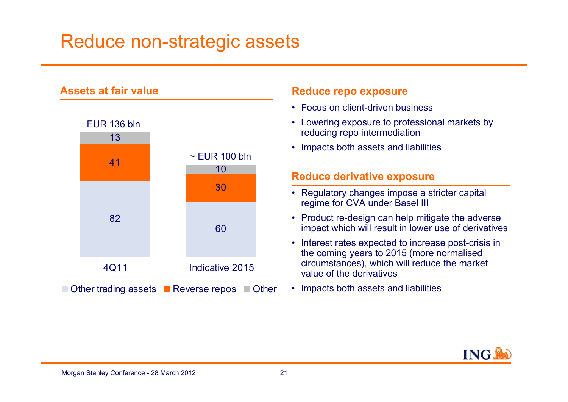### Reduce non-strategic assets



#### **Reduce repo exposure**

- Focus on client-driven business
- Lowering exposure to professional markets by reducing repo intermediation
- Impacts both assets and liabilities

#### **Reduce derivative exposure**

- Regulatory changes impose a stricter capital regime for CVA under Basel III
- Product re-design can help mitigate the adverse impact which will result in lower use of derivatives
- Interest rates expected to increase post-crisis in the coming years to 2015 (more normalised circumstances), which will reduce the market value of the derivatives
- Impacts both assets and liabilities

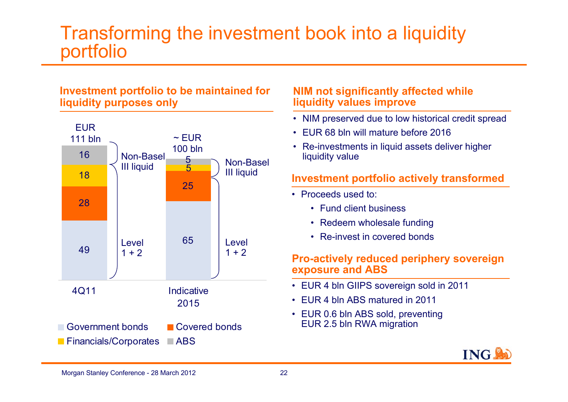### Transforming the investment book into a liquidity portfolio

#### **Investment portfolio to be maintained for liquidity purposes only**



#### **NIM not significantly affected while liquidity values improve**

- NIM preserved due to low historical credit spread
- EUR 68 bln will mature before 2016
- Re-investments in liquid assets deliver higher liquidity value

#### **Investment portfolio actively transformed**

- Proceeds used to:
	- Fund client business
	- Redeem wholesale funding
	- Re-invest in covered bonds

#### **Pro-actively reduced periphery sovereign exposure and ABS**

- EUR 4 bln GIIPS sovereign sold in 2011
- EUR 4 bln ABS matured in 2011
- EUR 0.6 bln ABS sold, preventing EUR 2.5 bln RWA migration

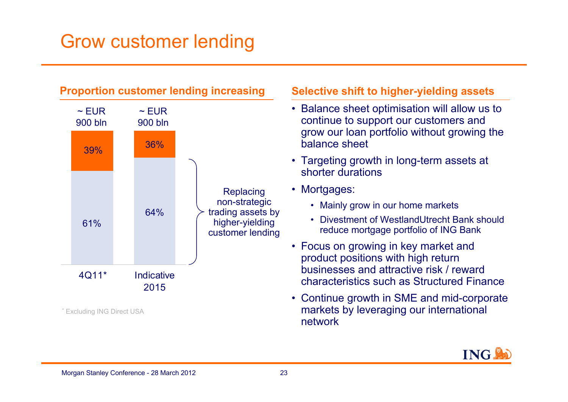### Grow customer lending



#### **Selective shift to higher-yielding assets**

- Balance sheet optimisation will allow us to continue to support our customers and grow our loan portfolio without growing the balance sheet
- Targeting growth in long-term assets at shorter durations
- Mortgages:
	- Mainly grow in our home markets
	- Divestment of WestlandUtrecht Bank should reduce mortgage portfolio of ING Bank
- Focus on growing in key market and product positions with high return businesses and attractive risk / reward characteristics such as Structured Finance
- Continue growth in SME and mid-corporate markets by leveraging our international network

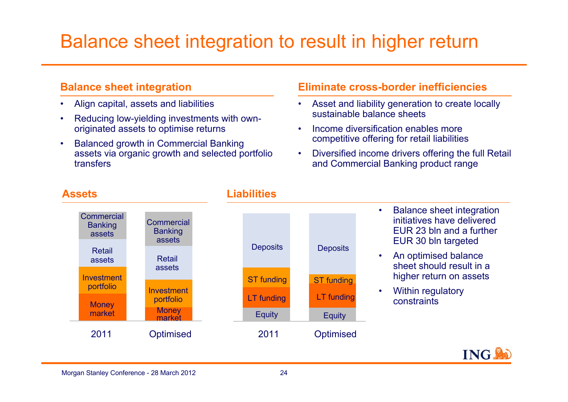### Balance sheet integration to result in higher return

#### **Balance sheet integration**

- •Align capital, assets and liabilities
- • Reducing low-yielding investments with ownoriginated assets to optimise returns
- • Balanced growth in Commercial Banking assets via organic growth and selected portfolio transfers

#### **Eliminate cross-border inefficiencies**

- • Asset and liability generation to create locally sustainable balance sheets
- • Income diversification enables more competitive offering for retail liabilities
- • Diversified income drivers offering the full Retail and Commercial Banking product range



#### **Assets Liabilities**

- • Balance sheet integration initiatives have delivered EUR 23 bln and a further EUR 30 bln targeted
- • An optimised balance sheet should result in a higher return on assets
- • Within regulatory constraints

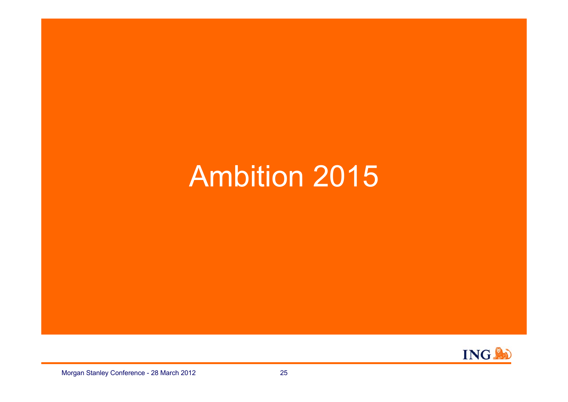## Ambition 2015

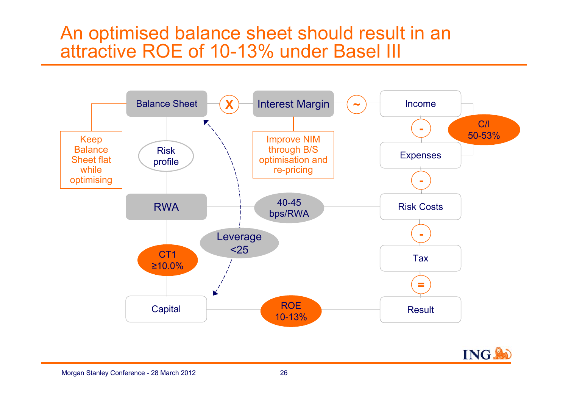### An optimised balance sheet should result in an attractive ROE of 10-13% under Basel III



**ING**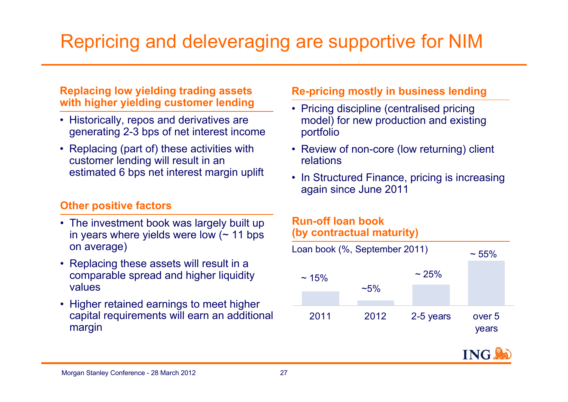## Repricing and deleveraging are supportive for NIM

#### **Replacing low yielding trading assets with higher yielding customer lending**

- Historically, repos and derivatives are generating 2-3 bps of net interest income
- Replacing (part of) these activities with customer lending will result in an estimated 6 bps net interest margin uplift

#### **Other positive factors**

- The investment book was largely built up in years where yields were low  $($   $\sim$  11 bps on average)
- Replacing these assets will result in a comparable spread and higher liquidity values
- Higher retained earnings to meet higher capital requirements will earn an additional margin

#### **Re-pricing mostly in business lending**

- Pricing discipline (centralised pricing model) for new production and existing portfolio
- Review of non-core (low returning) client relations
- In Structured Finance, pricing is increasing again since June 2011

#### **Run-off loan book (by contractual maturity)**



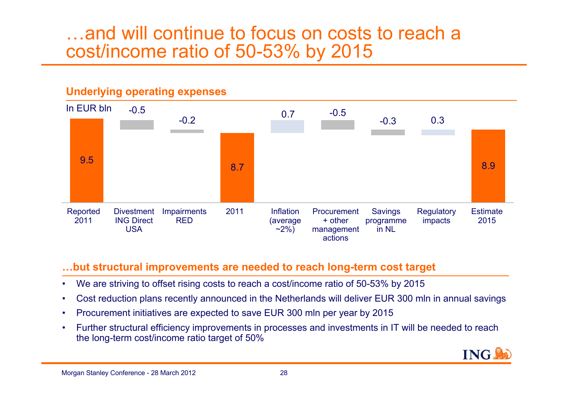### …and will continue to focus on costs to reach a cost/income ratio of 50-53% by 2015

#### **Underlying operating expenses**



#### **…but structural improvements are needed to reach long-term cost target**

- •We are striving to offset rising costs to reach a cost/income ratio of 50-53% by 2015
- •Cost reduction plans recently announced in the Netherlands will deliver EUR 300 mln in annual savings
- •Procurement initiatives are expected to save EUR 300 mln per year by 2015
- • Further structural efficiency improvements in processes and investments in IT will be needed to reach the long-term cost/income ratio target of 50%

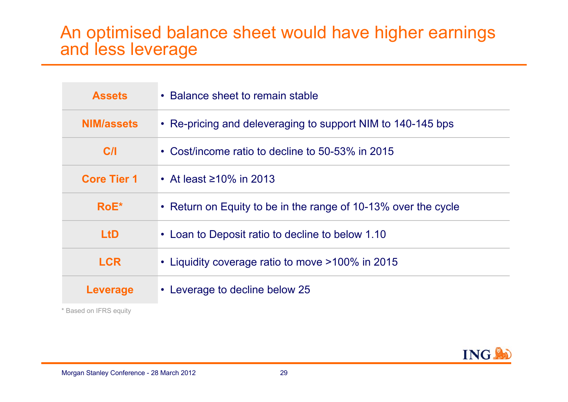### An optimised balance sheet would have higher earnings and less leverage

| <b>Assets</b>      | • Balance sheet to remain stable                               |  |
|--------------------|----------------------------------------------------------------|--|
| <b>NIM/assets</b>  | • Re-pricing and deleveraging to support NIM to 140-145 bps    |  |
| C/I                | • Cost/income ratio to decline to 50-53% in 2015               |  |
| <b>Core Tier 1</b> | • At least $\geq 10\%$ in 2013                                 |  |
| $RoE^*$            | • Return on Equity to be in the range of 10-13% over the cycle |  |
| <b>LtD</b>         | • Loan to Deposit ratio to decline to below 1.10               |  |
| <b>LCR</b>         | • Liquidity coverage ratio to move >100% in 2015               |  |
| Leverage           | • Leverage to decline below 25                                 |  |

\* Based on IFRS equity